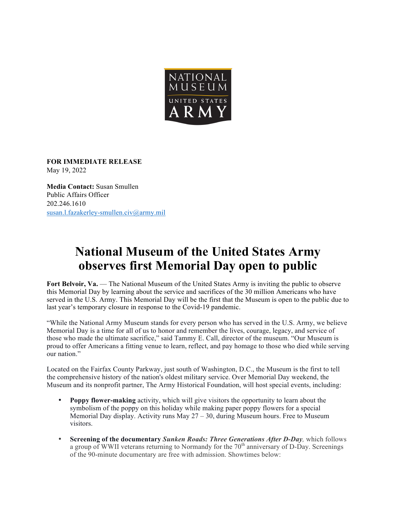

**FOR IMMEDIATE RELEASE**  May 19, 2022

**Media Contact:** Susan Smullen Public Affairs Officer 202.246.1610 susan.l.fazakerley-smullen.civ@army.mil

## **National Museum of the United States Army observes first Memorial Day open to public**

**Fort Belvoir, Va.** — The National Museum of the United States Army is inviting the public to observe this Memorial Day by learning about the service and sacrifices of the 30 million Americans who have served in the U.S. Army. This Memorial Day will be the first that the Museum is open to the public due to last year's temporary closure in response to the Covid-19 pandemic.

"While the National Army Museum stands for every person who has served in the U.S. Army, we believe Memorial Day is a time for all of us to honor and remember the lives, courage, legacy, and service of those who made the ultimate sacrifice," said Tammy E. Call, director of the museum. "Our Museum is proud to offer Americans a fitting venue to learn, reflect, and pay homage to those who died while serving our nation."

Located on the Fairfax County Parkway, just south of Washington, D.C., the Museum is the first to tell the comprehensive history of the nation's oldest military service. Over Memorial Day weekend, the Museum and its nonprofit partner, The Army Historical Foundation, will host special events, including:

- **Poppy flower-making** activity, which will give visitors the opportunity to learn about the symbolism of the poppy on this holiday while making paper poppy flowers for a special Memorial Day display. Activity runs May 27 – 30, during Museum hours. Free to Museum visitors.
- **Screening of the documentary** *Sunken Roads: Three Generations After D-Day,* which follows a group of WWII veterans returning to Normandy for the  $70<sup>th</sup>$  anniversary of D-Day. Screenings of the 90-minute documentary are free with admission. Showtimes below: